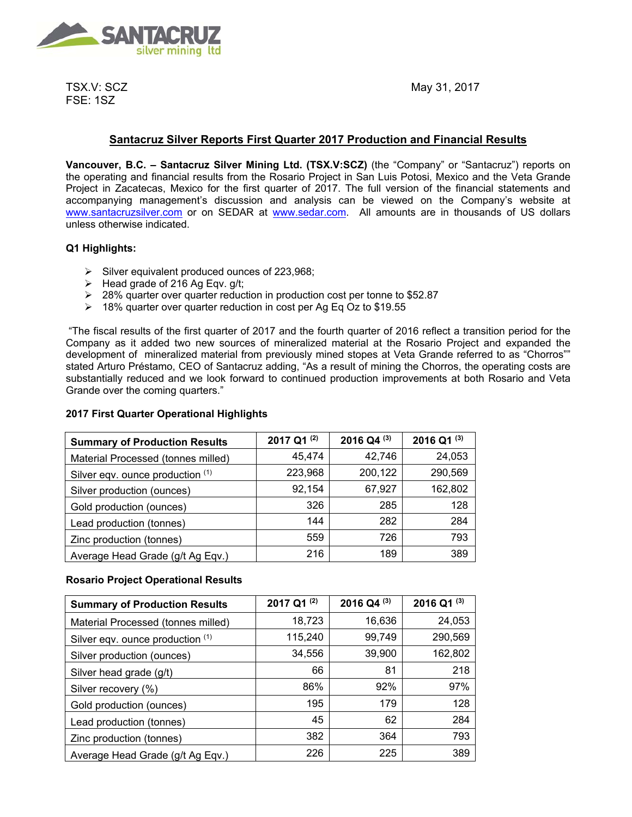

TSX.V: SCZ FSE: 1SZ

May 31, 2017

# **Santacruz Silver Reports First Quarter 2017 Production and Financial Results**

**Vancouver, B.C. – Santacruz Silver Mining Ltd. (TSX.V:SCZ)** (the "Company" or "Santacruz") reports on the operating and financial results from the Rosario Project in San Luis Potosi, Mexico and the Veta Grande Project in Zacatecas, Mexico for the first quarter of 2017. The full version of the financial statements and accompanying management's discussion and analysis can be viewed on the Company's website at www.santacruzsilver.com or on SEDAR at www.sedar.com. All amounts are in thousands of US dollars unless otherwise indicated.

# **Q1 Highlights:**

- $\triangleright$  Silver equivalent produced ounces of 223,968;
- $\triangleright$  Head grade of 216 Ag Eqv. g/t;
- 28% quarter over quarter reduction in production cost per tonne to \$52.87
- 18% quarter over quarter reduction in cost per Ag Eq Oz to \$19.55

 "The fiscal results of the first quarter of 2017 and the fourth quarter of 2016 reflect a transition period for the Company as it added two new sources of mineralized material at the Rosario Project and expanded the development of mineralized material from previously mined stopes at Veta Grande referred to as "Chorros"" stated Arturo Préstamo, CEO of Santacruz adding, "As a result of mining the Chorros, the operating costs are substantially reduced and we look forward to continued production improvements at both Rosario and Veta Grande over the coming quarters."

# **2017 First Quarter Operational Highlights**

| <b>Summary of Production Results</b> | 2017 Q1 $(2)$ | 2016 Q4 $(3)$ | 2016 Q1 $(3)$ |
|--------------------------------------|---------------|---------------|---------------|
| Material Processed (tonnes milled)   | 45,474        | 42,746        | 24,053        |
| Silver eqv. ounce production (1)     | 223,968       | 200,122       | 290,569       |
| Silver production (ounces)           | 92,154        | 67,927        | 162,802       |
| Gold production (ounces)             | 326           | 285           | 128           |
| Lead production (tonnes)             | 144           | 282           | 284           |
| Zinc production (tonnes)             | 559           | 726           | 793           |
| Average Head Grade (g/t Ag Eqv.)     | 216           | 189           | 389           |

## **Rosario Project Operational Results**

| <b>Summary of Production Results</b> | 2017 Q1 <sup>(2)</sup> | 2016 Q4 <sup>(3)</sup> | 2016 Q1 (3) |
|--------------------------------------|------------------------|------------------------|-------------|
| Material Processed (tonnes milled)   | 18,723                 | 16,636                 | 24,053      |
| Silver eqv. ounce production (1)     | 115,240                | 99,749                 | 290,569     |
| Silver production (ounces)           | 34,556                 | 39,900                 | 162,802     |
| Silver head grade (g/t)              | 66                     | 81                     | 218         |
| Silver recovery (%)                  | 86%                    | 92%                    | 97%         |
| Gold production (ounces)             | 195                    | 179                    | 128         |
| Lead production (tonnes)             | 45                     | 62                     | 284         |
| Zinc production (tonnes)             | 382                    | 364                    | 793         |
| Average Head Grade (g/t Ag Eqv.)     | 226                    | 225                    | 389         |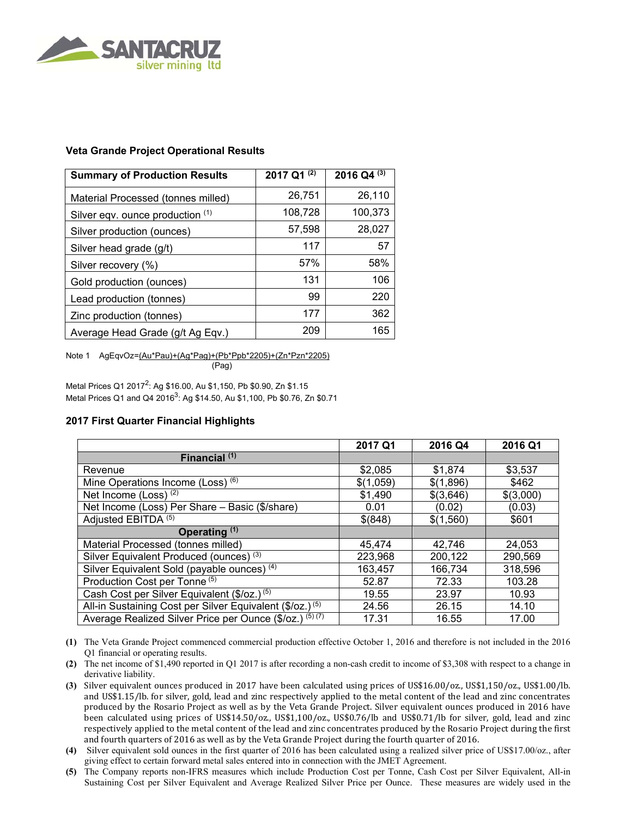

# **Veta Grande Project Operational Results**

| <b>Summary of Production Results</b> | 2017 Q1 (2) | $2016$ Q4 $(3)$ |
|--------------------------------------|-------------|-----------------|
| Material Processed (tonnes milled)   | 26,751      | 26,110          |
| Silver eqv. ounce production (1)     | 108,728     | 100,373         |
| Silver production (ounces)           | 57,598      | 28,027          |
| Silver head grade (g/t)              | 117         | 57              |
| Silver recovery (%)                  | 57%         | 58%             |
| Gold production (ounces)             | 131         | 106             |
| Lead production (tonnes)             | 99          | 220             |
| Zinc production (tonnes)             | 177         | 362             |
| Average Head Grade (g/t Ag Eqv.)     | 209         | 165             |

Note 1 AgEqvOz=(Au\*Pau)+(Ag\*Pag)+(Pb\*Ppb\*2205)+(Zn\*Pzn\*2205) (Pag)

Metal Prices Q1 2017<sup>2</sup>: Ag \$16.00, Au \$1,150, Pb \$0.90, Zn \$1.15 Metal Prices Q1 and Q4 2016<sup>3</sup>: Ag \$14.50, Au \$1,100, Pb \$0.76, Zn \$0.71

## **2017 First Quarter Financial Highlights**

|                                                                      | 2017 Q1   | 2016 Q4   | 2016 Q1   |
|----------------------------------------------------------------------|-----------|-----------|-----------|
| Financial <sup>(1)</sup>                                             |           |           |           |
| Revenue                                                              | \$2,085   | \$1,874   | \$3,537   |
| Mine Operations Income (Loss) (6)                                    | \$(1,059) | \$(1,896) | \$462     |
| Net Income (Loss) $(2)$                                              | \$1,490   | \$(3,646) | \$(3,000) |
| Net Income (Loss) Per Share - Basic (\$/share)                       | 0.01      | (0.02)    | (0.03)    |
| Adjusted EBITDA <sup>(5)</sup>                                       | \$(848)   | \$(1,560) | \$601     |
| Operating $(1)$                                                      |           |           |           |
| Material Processed (tonnes milled)                                   | 45.474    | 42.746    | 24,053    |
| Silver Equivalent Produced (ounces) <sup>(3)</sup>                   | 223,968   | 200,122   | 290,569   |
| Silver Equivalent Sold (payable ounces) <sup>(4)</sup>               | 163,457   | 166,734   | 318,596   |
| Production Cost per Tonne <sup>(5)</sup>                             | 52.87     | 72.33     | 103.28    |
| Cash Cost per Silver Equivalent (\$/oz.) <sup>(5)</sup>              | 19.55     | 23.97     | 10.93     |
| All-in Sustaining Cost per Silver Equivalent (\$/oz.) <sup>(5)</sup> | 24.56     | 26.15     | 14.10     |
| Average Realized Silver Price per Ounce (\$/oz.) (5) (7)             | 17.31     | 16.55     | 17.00     |

**(1)** The Veta Grande Project commenced commercial production effective October 1, 2016 and therefore is not included in the 2016 Q1 financial or operating results.

- **(2)** The net income of \$1,490 reported in Q1 2017 is after recording a non-cash credit to income of \$3,308 with respect to a change in derivative liability.
- (3) Silver equivalent ounces produced in 2017 have been calculated using prices of US\$16.00/oz., US\$1,150/oz., US\$1.00/lb. and US\$1.15/lb. for silver, gold, lead and zinc respectively applied to the metal content of the lead and zinc concentrates produced by the Rosario Project as well as by the Veta Grande Project. Silver equivalent ounces produced in 2016 have been calculated using prices of US\$14.50/oz., US\$1,100/oz., US\$0.76/lb and US\$0.71/lb for silver, gold, lead and zinc respectively applied to the metal content of the lead and zinc concentrates produced by the Rosario Project during the first and fourth quarters of 2016 as well as by the Veta Grande Project during the fourth quarter of 2016.
- **(4)** Silver equivalent sold ounces in the first quarter of 2016 has been calculated using a realized silver price of US\$17.00/oz., after giving effect to certain forward metal sales entered into in connection with the JMET Agreement.
- **(5)** The Company reports non-IFRS measures which include Production Cost per Tonne, Cash Cost per Silver Equivalent, All-in Sustaining Cost per Silver Equivalent and Average Realized Silver Price per Ounce. These measures are widely used in the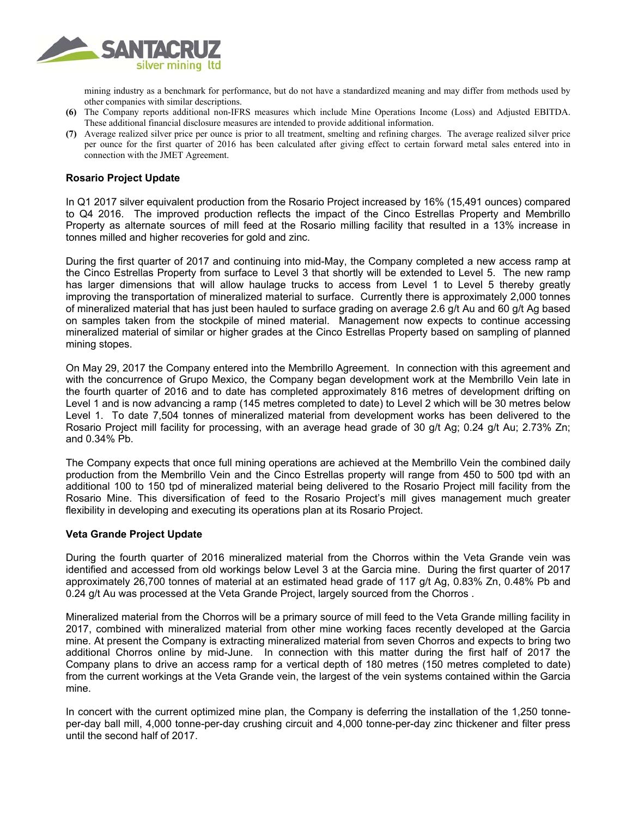

mining industry as a benchmark for performance, but do not have a standardized meaning and may differ from methods used by other companies with similar descriptions.

- **(6)** The Company reports additional non-IFRS measures which include Mine Operations Income (Loss) and Adjusted EBITDA. These additional financial disclosure measures are intended to provide additional information.
- **(7)** Average realized silver price per ounce is prior to all treatment, smelting and refining charges. The average realized silver price per ounce for the first quarter of 2016 has been calculated after giving effect to certain forward metal sales entered into in connection with the JMET Agreement.

## **Rosario Project Update**

In Q1 2017 silver equivalent production from the Rosario Project increased by 16% (15,491 ounces) compared to Q4 2016. The improved production reflects the impact of the Cinco Estrellas Property and Membrillo Property as alternate sources of mill feed at the Rosario milling facility that resulted in a 13% increase in tonnes milled and higher recoveries for gold and zinc.

During the first quarter of 2017 and continuing into mid-May, the Company completed a new access ramp at the Cinco Estrellas Property from surface to Level 3 that shortly will be extended to Level 5. The new ramp has larger dimensions that will allow haulage trucks to access from Level 1 to Level 5 thereby greatly improving the transportation of mineralized material to surface. Currently there is approximately 2,000 tonnes of mineralized material that has just been hauled to surface grading on average 2.6 g/t Au and 60 g/t Ag based on samples taken from the stockpile of mined material. Management now expects to continue accessing mineralized material of similar or higher grades at the Cinco Estrellas Property based on sampling of planned mining stopes.

On May 29, 2017 the Company entered into the Membrillo Agreement. In connection with this agreement and with the concurrence of Grupo Mexico, the Company began development work at the Membrillo Vein late in the fourth quarter of 2016 and to date has completed approximately 816 metres of development drifting on Level 1 and is now advancing a ramp (145 metres completed to date) to Level 2 which will be 30 metres below Level 1. To date 7,504 tonnes of mineralized material from development works has been delivered to the Rosario Project mill facility for processing, with an average head grade of 30 g/t Ag; 0.24 g/t Au; 2.73% Zn; and 0.34% Pb.

The Company expects that once full mining operations are achieved at the Membrillo Vein the combined daily production from the Membrillo Vein and the Cinco Estrellas property will range from 450 to 500 tpd with an additional 100 to 150 tpd of mineralized material being delivered to the Rosario Project mill facility from the Rosario Mine. This diversification of feed to the Rosario Project's mill gives management much greater flexibility in developing and executing its operations plan at its Rosario Project.

## **Veta Grande Project Update**

During the fourth quarter of 2016 mineralized material from the Chorros within the Veta Grande vein was identified and accessed from old workings below Level 3 at the Garcia mine. During the first quarter of 2017 approximately 26,700 tonnes of material at an estimated head grade of 117 g/t Ag, 0.83% Zn, 0.48% Pb and 0.24 g/t Au was processed at the Veta Grande Project, largely sourced from the Chorros.

Mineralized material from the Chorros will be a primary source of mill feed to the Veta Grande milling facility in 2017, combined with mineralized material from other mine working faces recently developed at the Garcia mine. At present the Company is extracting mineralized material from seven Chorros and expects to bring two additional Chorros online by mid-June. In connection with this matter during the first half of 2017 the Company plans to drive an access ramp for a vertical depth of 180 metres (150 metres completed to date) from the current workings at the Veta Grande vein, the largest of the vein systems contained within the Garcia mine.

In concert with the current optimized mine plan, the Company is deferring the installation of the 1,250 tonneper-day ball mill, 4,000 tonne-per-day crushing circuit and 4,000 tonne-per-day zinc thickener and filter press until the second half of 2017.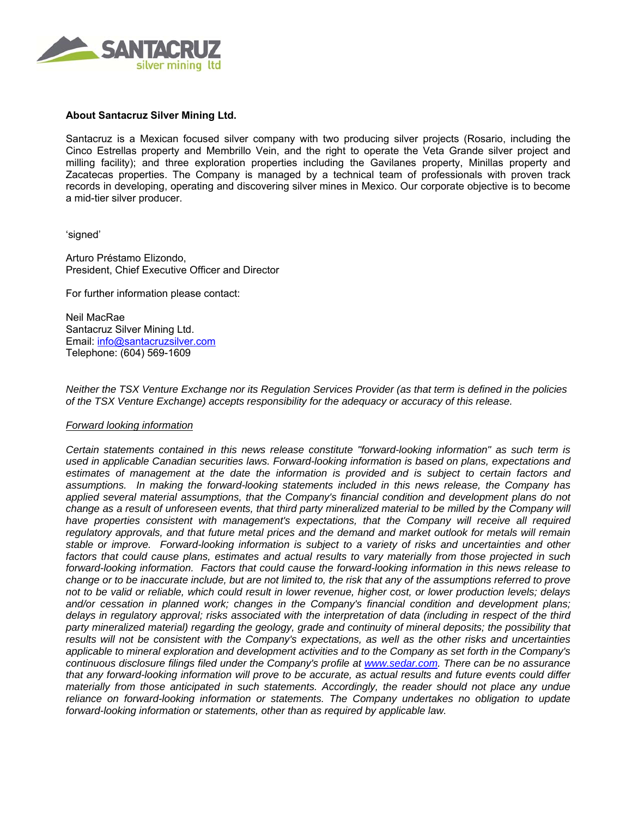

## **About Santacruz Silver Mining Ltd.**

Santacruz is a Mexican focused silver company with two producing silver projects (Rosario, including the Cinco Estrellas property and Membrillo Vein, and the right to operate the Veta Grande silver project and milling facility); and three exploration properties including the Gavilanes property, Minillas property and Zacatecas properties. The Company is managed by a technical team of professionals with proven track records in developing, operating and discovering silver mines in Mexico. Our corporate objective is to become a mid-tier silver producer.

'signed'

Arturo Préstamo Elizondo, President, Chief Executive Officer and Director

For further information please contact:

Neil MacRae Santacruz Silver Mining Ltd. Email: info@santacruzsilver.com Telephone: (604) 569-1609

*Neither the TSX Venture Exchange nor its Regulation Services Provider (as that term is defined in the policies of the TSX Venture Exchange) accepts responsibility for the adequacy or accuracy of this release.* 

#### *Forward looking information*

*Certain statements contained in this news release constitute "forward-looking information" as such term is used in applicable Canadian securities laws. Forward-looking information is based on plans, expectations and estimates of management at the date the information is provided and is subject to certain factors and assumptions. In making the forward-looking statements included in this news release, the Company has applied several material assumptions, that the Company's financial condition and development plans do not change as a result of unforeseen events, that third party mineralized material to be milled by the Company will* have properties consistent with management's expectations, that the Company will receive all required *regulatory approvals, and that future metal prices and the demand and market outlook for metals will remain stable or improve. Forward-looking information is subject to a variety of risks and uncertainties and other factors that could cause plans, estimates and actual results to vary materially from those projected in such forward-looking information. Factors that could cause the forward-looking information in this news release to change or to be inaccurate include, but are not limited to, the risk that any of the assumptions referred to prove not to be valid or reliable, which could result in lower revenue, higher cost, or lower production levels; delays and/or cessation in planned work; changes in the Company's financial condition and development plans; delays in regulatory approval; risks associated with the interpretation of data (including in respect of the third party mineralized material) regarding the geology, grade and continuity of mineral deposits; the possibility that results will not be consistent with the Company's expectations, as well as the other risks and uncertainties applicable to mineral exploration and development activities and to the Company as set forth in the Company's continuous disclosure filings filed under the Company's profile at www.sedar.com. There can be no assurance that any forward-looking information will prove to be accurate, as actual results and future events could differ materially from those anticipated in such statements. Accordingly, the reader should not place any undue reliance on forward-looking information or statements. The Company undertakes no obligation to update forward-looking information or statements, other than as required by applicable law.*